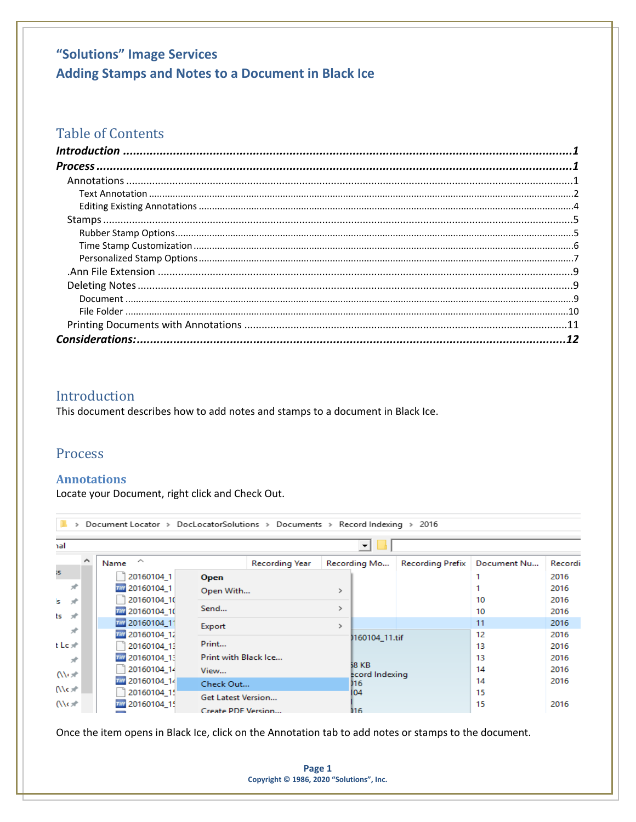## "Solutions" Image Services Adding Stamps and Notes to a Document in Black Ice

### **Table of Contents**

 $\sim$   $\sim$ 

### <span id="page-0-0"></span>Introduction

This document describes how to add notes and stamps to a document in Black Ice.

### <span id="page-0-1"></span>**Process**

#### <span id="page-0-2"></span>**Annotations**

Locate your Document, right click and Check Out.

|          |                     |                           |                       |                         | ▾╎             |                         |             |         |
|----------|---------------------|---------------------------|-----------------------|-------------------------|----------------|-------------------------|-------------|---------|
| $\wedge$ | ∽<br>Name           |                           | <b>Recording Year</b> |                         | Recording Mo   | <b>Recording Prefix</b> | Document Nu | Recordi |
|          | 20160104 1          | Open                      |                       |                         |                |                         |             | 2016    |
|          | 7777 20160104 1     | Open With                 |                       | >                       |                |                         |             | 2016    |
|          | 20160104 10         |                           |                       |                         |                |                         | 10          | 2016    |
|          | 777 20160104 10     | Send                      |                       | $\rightarrow$           |                |                         | 10          | 2016    |
|          | 777 20160104 11     | Export                    |                       | >                       |                |                         | 11          | 2016    |
|          | 787 20160104 12     |                           |                       |                         | 1160104 11.tif |                         | 12          | 2016    |
|          | 20160104_13         | Print                     |                       |                         |                |                         | 13          | 2016    |
|          | 777 20160104 13     | Print with Black Ice      |                       |                         |                |                         | 13          | 2016    |
|          | 20160104 14         | View                      |                       | 58 KB<br>ecord Indexing |                | 14                      | 2016        |         |
|          | 787 20160104_14     | Check Out                 |                       |                         | 116            |                         | 14          | 2016    |
|          | 20160104_15         | <b>Get Latest Version</b> |                       |                         | 104            |                         | 15          |         |
|          | 20160104 15<br>Tiff | Create PDF Version        |                       |                         | 116            |                         | 15          | 2016    |

Once the item opens in Black Ice, click on the Annotation tab to add notes or stamps to the document.

Page 1 Copyright © 1986, 2020 "Solutions", Inc.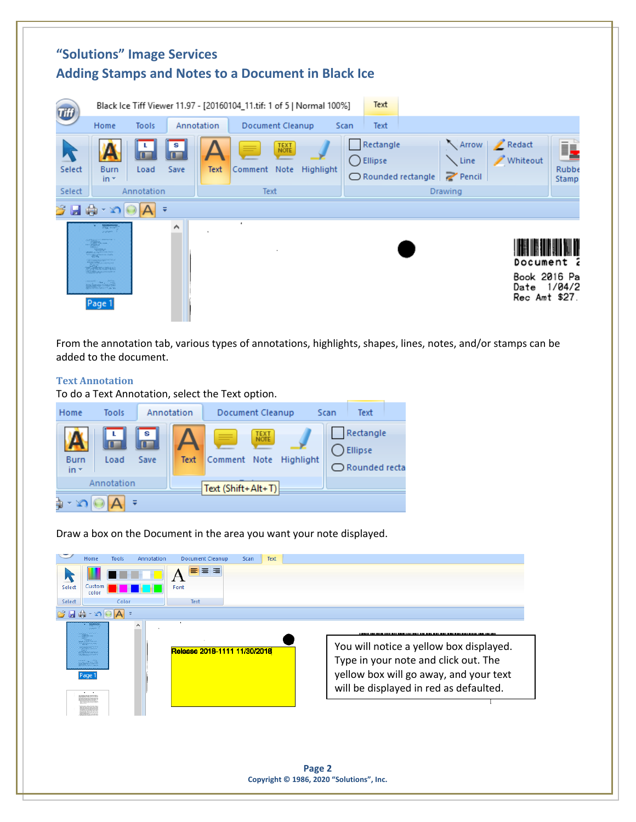

From the annotation tab, various types of annotations, highlights, shapes, lines, notes, and/or stamps can be added to the document.

#### <span id="page-1-0"></span>**Text Annotation**

To do a Text Annotation, select the Text option.



Draw a box on the Document in the area you want your note displayed.

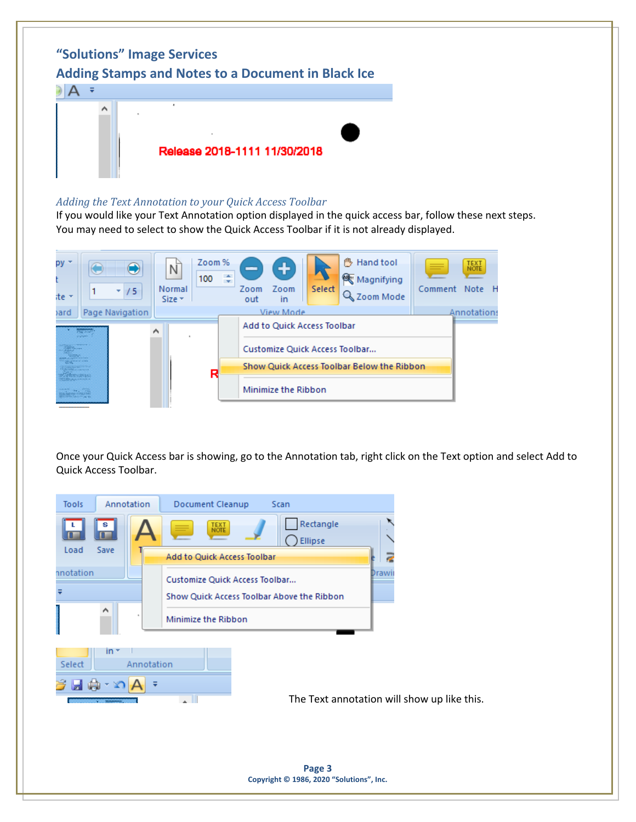

#### *Adding the Text Annotation to your Quick Access Toolbar*

If you would like your Text Annotation option displayed in the quick access bar, follow these next steps. You may need to select to show the Quick Access Toolbar if it is not already displayed.



Once your Quick Access bar is showing, go to the Annotation tab, right click on the Text option and select Add to Quick Access Toolbar.

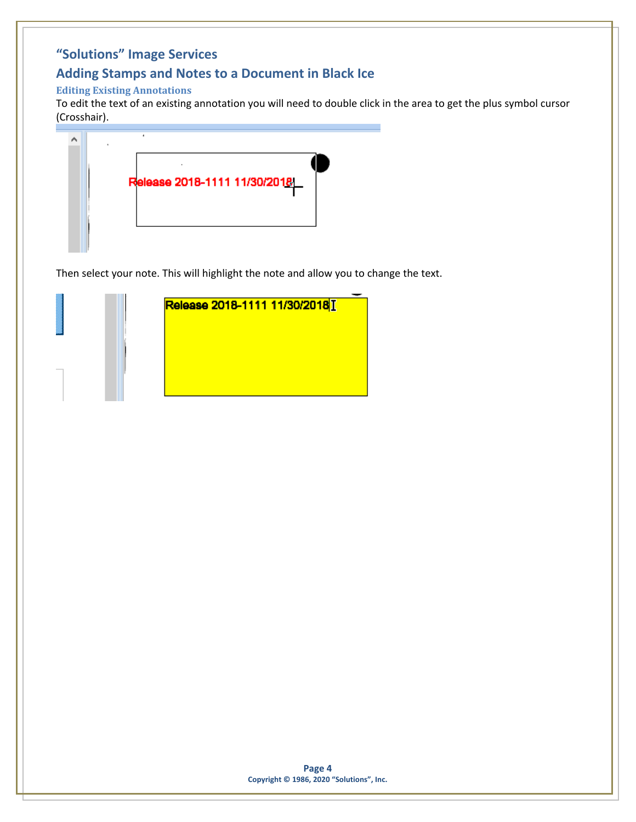## **Adding Stamps and Notes to a Document in Black Ice**

### <span id="page-3-0"></span>**Editing Existing Annotations**

To edit the text of an existing annotation you will need to double click in the area to get the plus symbol cursor (Crosshair).



Then select your note. This will highlight the note and allow you to change the text.

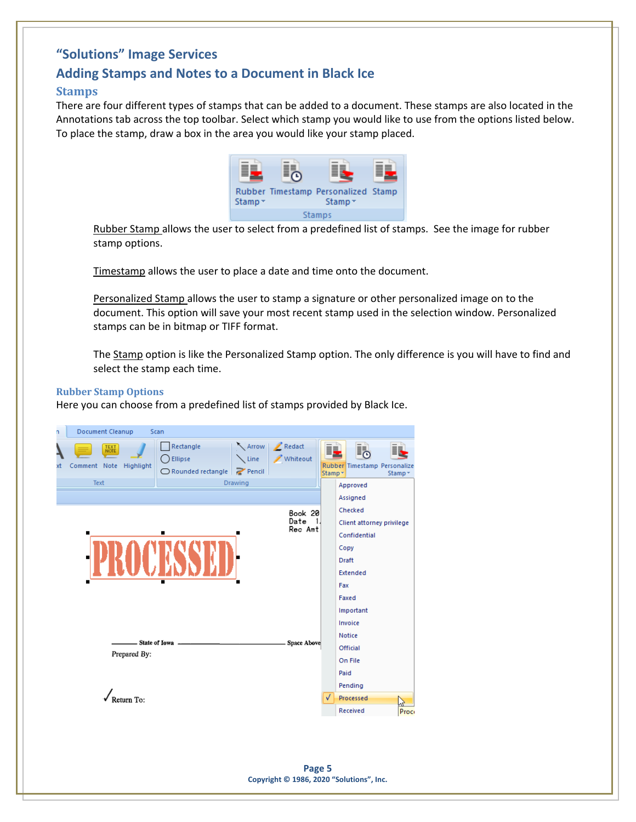### **Adding Stamps and Notes to a Document in Black Ice**

#### <span id="page-4-0"></span>**Stamps**

There are four different types of stamps that can be added to a document. These stamps are also located in the Annotations tab across the top toolbar. Select which stamp you would like to use from the options listed below. To place the stamp, draw a box in the area you would like your stamp placed.



Rubber Stamp allows the user to select from a predefined list of stamps. See the image for rubber stamp options.

Timestamp allows the user to place a date and time onto the document.

Personalized Stamp allows the user to stamp a signature or other personalized image on to the document. This option will save your most recent stamp used in the selection window. Personalized stamps can be in bitmap or TIFF format.

The Stamp option is like the Personalized Stamp option. The only difference is you will have to find and select the stamp each time.

#### <span id="page-4-1"></span>**Rubber Stamp Options**

Here you can choose from a predefined list of stamps provided by Black Ice.

| n  | Document Cleanup                                      |              | Scan                                                      |                |                                    |               |                                                                              |         |
|----|-------------------------------------------------------|--------------|-----------------------------------------------------------|----------------|------------------------------------|---------------|------------------------------------------------------------------------------|---------|
| xt | <b>TEXT</b><br>NOTE<br>Comment Note Highlight<br>Text |              | Rectangle<br>Ellipse<br>◯ Rounded rectangle <i>Pencil</i> | <b>Drawing</b> | Arrow   / Redact<br>Line Whiteout  | i.<br>Stamp * | <b>i</b><br>Rubber Timestamp Personalize<br>Approved                         | Stamp * |
|    |                                                       |              |                                                           |                |                                    |               | Assigned                                                                     |         |
|    | п                                                     |              | ■                                                         |                | Book 20<br>Date<br>$-1$<br>Rec Amt |               | Checked<br>Client attorney privilege<br>Confidential<br>Copy<br><b>Draft</b> |         |
|    |                                                       |              |                                                           |                |                                    |               | <b>Extended</b><br>Fax                                                       |         |
|    |                                                       |              |                                                           |                |                                    |               | Faxed                                                                        |         |
|    |                                                       |              |                                                           |                |                                    |               | Important                                                                    |         |
|    |                                                       |              |                                                           |                |                                    |               | Invoice                                                                      |         |
|    |                                                       |              | - State of Iowa -                                         |                | <b>Space Above</b>                 |               | <b>Notice</b>                                                                |         |
|    |                                                       | Prepared By: |                                                           |                |                                    |               | Official                                                                     |         |
|    |                                                       |              |                                                           |                |                                    |               | On File                                                                      |         |
|    |                                                       |              |                                                           |                |                                    |               | Paid                                                                         |         |
|    |                                                       |              |                                                           |                |                                    |               | Pending                                                                      |         |
|    |                                                       | Return To:   |                                                           |                |                                    | J             | Processed                                                                    |         |
|    |                                                       |              |                                                           |                |                                    |               | Received                                                                     | Proc    |
|    |                                                       |              |                                                           |                |                                    |               |                                                                              |         |

**Page 5 Copyright © 1986, 2020 "Solutions", Inc.**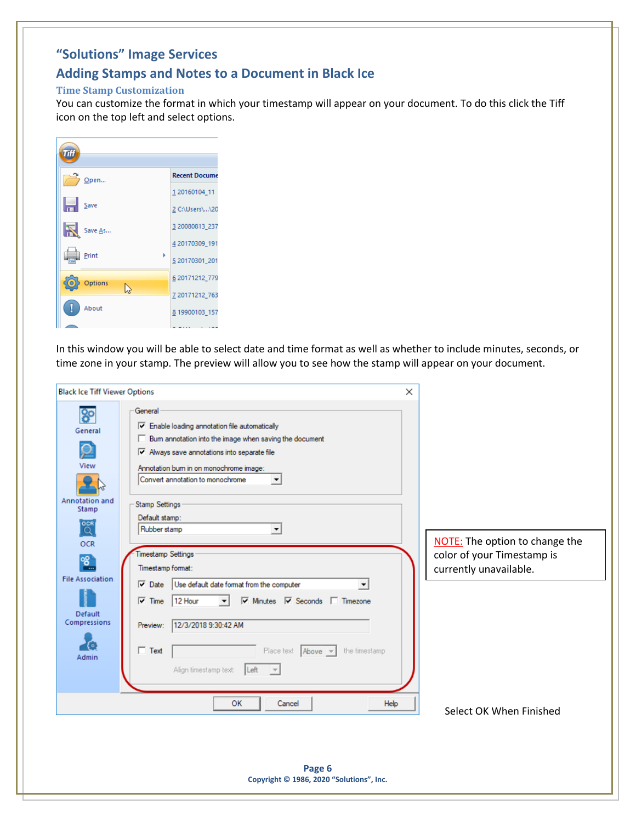### **Adding Stamps and Notes to a Document in Black Ice**

#### <span id="page-5-0"></span>**Time Stamp Customization**

You can customize the format in which your timestamp will appear on your document. To do this click the Tiff icon on the top left and select options.

| míi       |                      |
|-----------|----------------------|
| $O$ pen   | <b>Recent Docume</b> |
|           | 1 20160104_11        |
| Н<br>Save | 2 C:\Users\\20       |
| Save As   | 3 20080813 237       |
|           | 4 20170309 191       |
| Print     | 5 20170301 201       |
| Options   | 6 20171212 779       |
| ド         | 7 20171212 763       |
| About     | 8 19900103 157       |
|           |                      |

In this window you will be able to select date and time format as well as whether to include minutes, seconds, or time zone in your stamp. The preview will allow you to see how the stamp will appear on your document.

| <b>Black Ice Tiff Viewer Options</b>                                                                                                                               |                                                                                                                                                                                                                                                                                                                                                                                                                                                                                                                                                                                                                                                                                                                                                          | $\times$ |                                                                                                                          |
|--------------------------------------------------------------------------------------------------------------------------------------------------------------------|----------------------------------------------------------------------------------------------------------------------------------------------------------------------------------------------------------------------------------------------------------------------------------------------------------------------------------------------------------------------------------------------------------------------------------------------------------------------------------------------------------------------------------------------------------------------------------------------------------------------------------------------------------------------------------------------------------------------------------------------------------|----------|--------------------------------------------------------------------------------------------------------------------------|
| ၷ<br>General<br>View<br>Annotation and<br><b>Stamp</b><br>$\overline{Q}$<br><b>OCR</b><br>80<br><b>File Association</b><br><b>Default</b><br>Compressions<br>Admin | General<br>$\overline{\nabla}$ Enable loading annotation file automatically<br>□ Bum annotation into the image when saving the document<br>$\nabla$ Always save annotations into separate file<br>Annotation burn in on monochrome image:<br>Convert annotation to monochrome<br>$\blacktriangledown$<br><b>Stamp Settings</b><br>Default stamp:<br>Rubber stamp<br>۰<br><b>Timestamp Settings</b><br>Timestamp format:<br>$\nabla$ Date<br>Use default date format from the computer<br>۰<br>12 Hour<br>$\nabla$ Minutes $\nabla$ Seconds $\nabla$ Timezone<br>$\nabla$ Time<br>12/3/2018 9:30:42 AM<br>Preview:<br>$\Box$ Text<br>Place text Above v<br>the timestamp<br>Align timestamp text:<br>Left<br>$\vert \nabla \vert$<br>OK<br>Cancel<br>Help |          | <b>NOTE:</b> The option to change the<br>color of your Timestamp is<br>currently unavailable.<br>Select OK When Finished |
|                                                                                                                                                                    | Page 6<br>Copyright © 1986, 2020 "Solutions", Inc.                                                                                                                                                                                                                                                                                                                                                                                                                                                                                                                                                                                                                                                                                                       |          |                                                                                                                          |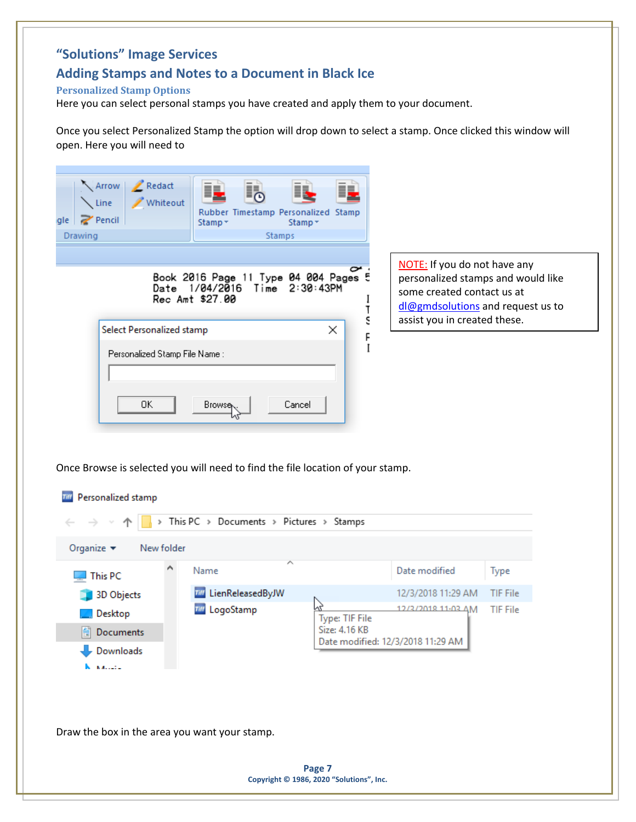## **Adding Stamps and Notes to a Document in Black Ice**

### <span id="page-6-0"></span>**Personalized Stamp Options**

Here you can select personal stamps you have created and apply them to your document.

Once you select Personalized Stamp the option will drop down to select a stamp. Once clicked this window will open. Here you will need to

| $\ge$ Pencil<br>gle<br>Drawing                                                                                                                      | Whiteout<br>Rubber Timestamp Personalized Stamp<br>Stamp *<br><b>Stamps</b>                  | Stamp -                         |                                                                                                                                       |                 |
|-----------------------------------------------------------------------------------------------------------------------------------------------------|----------------------------------------------------------------------------------------------|---------------------------------|---------------------------------------------------------------------------------------------------------------------------------------|-----------------|
|                                                                                                                                                     | Book 2016 Page 11 Type 04 004 Pages 5<br>Date 1/04/2016<br>Time 2:30:43PM<br>Rec Amt \$27.00 | ı<br>T                          | NOTE: If you do not have any<br>personalized stamps and would like<br>some created contact us at<br>dl@gmdsolutions and request us to |                 |
| Select Personalized stamp<br>Personalized Stamp File Name :<br>0K<br>Once Browse is selected you will need to find the file location of your stamp. | Cancel<br>Browse                                                                             | έ<br>×<br>F<br>I                | assist you in created these.                                                                                                          |                 |
| Personalized stamp<br>Tiff                                                                                                                          |                                                                                              |                                 |                                                                                                                                       |                 |
|                                                                                                                                                     | This PC > Documents > Pictures > Stamps                                                      |                                 |                                                                                                                                       |                 |
| Organize $\blacktriangleright$<br>New folder<br>This PC                                                                                             | Name                                                                                         |                                 | Date modified                                                                                                                         | Type            |
| 3D Objects                                                                                                                                          | <b>Till</b> LienReleasedByJW                                                                 |                                 | 12/3/2018 11:29 AM                                                                                                                    | <b>TIF File</b> |
| Desktop<br><b>E</b> Documents<br>Downloads<br><b>NALLEY</b>                                                                                         | LogoStamp<br>Tiff                                                                            | Type: TIF File<br>Size: 4.16 KB | 12/3/2018 11:03 AM<br>Date modified: 12/3/2018 11:29 AM                                                                               | <b>TIF File</b> |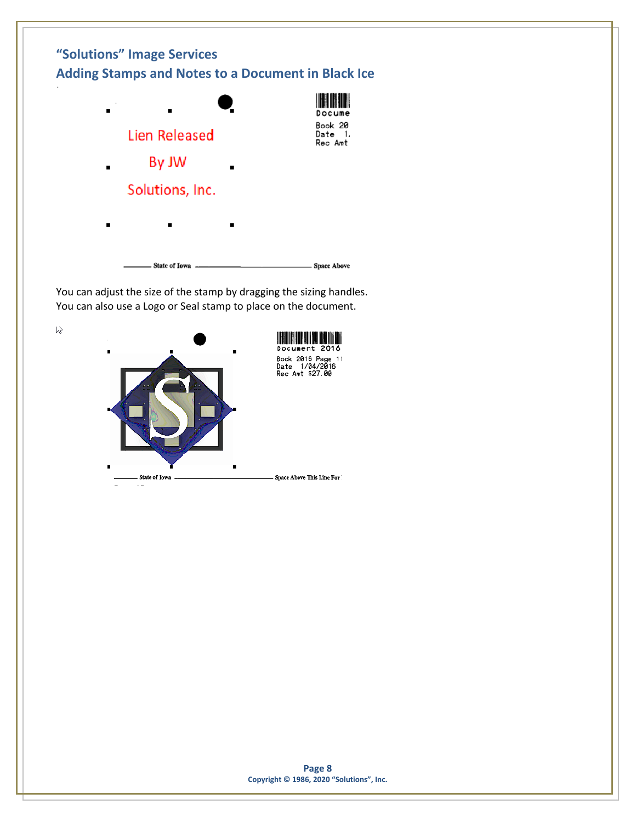

You can adjust the size of the stamp by dragging the sizing handles. You can also use a Logo or Seal stamp to place on the document.

 $\mathfrak{b}$ 

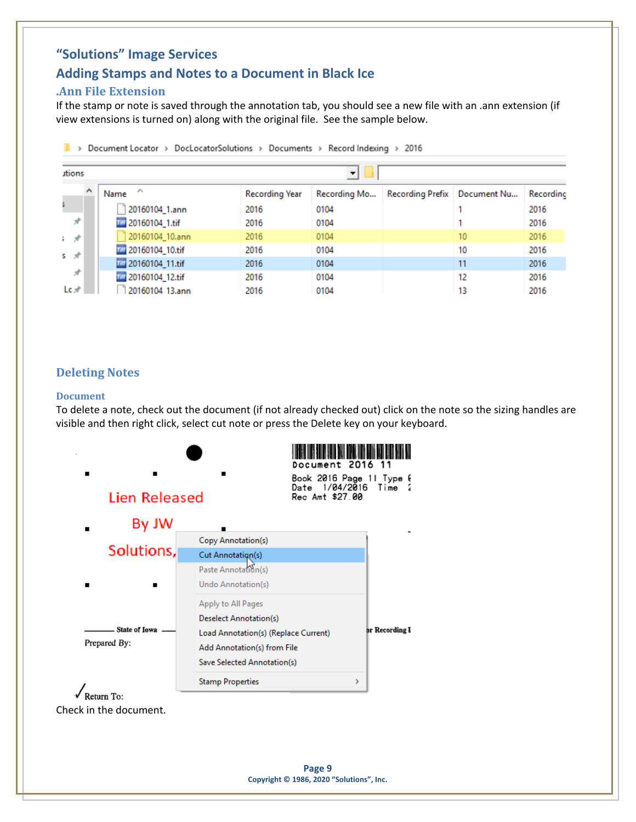### **Adding Stamps and Notes to a Document in Black Ice**

### <span id="page-8-0"></span>**.Ann File Extension**

If the stamp or note is saved through the annotation tab, you should see a new file with an .ann extension (if view extensions is turned on) along with the original file. See the sample below.

| utions        | Document Locator > DocLocatorSolutions > | Documents >    | Record Indexing $\rightarrow$<br>$\overline{\phantom{a}}$ | 2016 |                                |           |
|---------------|------------------------------------------|----------------|-----------------------------------------------------------|------|--------------------------------|-----------|
| $\wedge$      | ∧<br>Name                                | Recording Year | Recording Mo                                              |      | Recording Prefix   Document Nu | Recording |
|               | 20160104_1.ann                           | 2016           | 0104                                                      |      |                                | 2016      |
| $\mathcal{R}$ | Till 20160104_1.tif                      | 2016           | 0104                                                      |      |                                | 2016      |
| 主弹            | 20160104_10.ann                          | 2016           | 0104                                                      |      | 10                             | 2016      |
| 5 对           | Till 20160104_10.tif                     | 2016           | 0104                                                      |      | 10                             | 2016      |
|               | Till 20160104_11.tif                     | 2016           | 0104                                                      |      | 11                             | 2016      |
| $\mathcal{R}$ | Till 20160104_12.tif                     | 2016           | 0104                                                      |      | 12                             | 2016      |
| $Lc$ $\pi$    | 20160104 13.ann                          | 2016           | 0104                                                      |      | 13                             | 2016      |

### <span id="page-8-1"></span>**Deleting Notes**

#### <span id="page-8-2"></span>**Document**

To delete a note, check out the document (if not already checked out) click on the note so the sizing handles are visible and then right click, select cut note or press the Delete key on your keyboard.

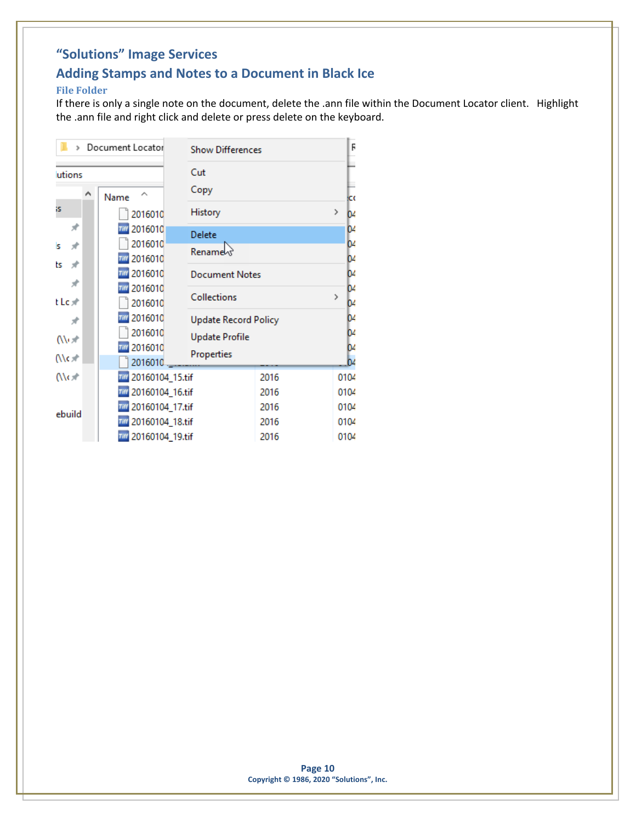## **Adding Stamps and Notes to a Document in Black Ice**

#### <span id="page-9-0"></span>**File Folder**

If there is only a single note on the document, delete the .ann file within the Document Locator client. Highlight the .ann file and right click and delete or press delete on the keyboard.

|                 | Document Locator     | <b>Show Differences</b>     |      | F                   |
|-----------------|----------------------|-----------------------------|------|---------------------|
| utions          |                      | Cut<br>Copy                 |      |                     |
| iS.             | Name                 |                             |      | łсс<br>>            |
|                 | 2016010              | History                     |      | 04                  |
| À               | 2016010              | Delete                      |      | 04                  |
| ÷<br>Is         | 2016010              | Rename                      |      | b۷                  |
| ts<br>÷         | 2016010              |                             |      | D4                  |
| ⊀               | 2016010              | <b>Document Notes</b>       |      | D4                  |
|                 | 2016010              | <b>Collections</b>          |      | 04<br>$\rightarrow$ |
| tLc术            | 2016010              |                             |      | D4                  |
| À               | 2016010              | <b>Update Record Policy</b> |      | 04                  |
| (\\⊢.*          | 2016010              | <b>Update Profile</b>       |      | 04                  |
|                 | 2016010              | Properties                  |      | D4                  |
| (\\c <i>:</i> * | 2016010              |                             |      | b4                  |
| $\sqrt{6}$      | 20160104_15.tif      |                             | 2016 | 0104                |
|                 | Till 20160104_16.tif |                             | 2016 | 0104                |
| ebuild          | Till 20160104_17.tif |                             | 2016 | 0104                |
|                 | Till 20160104_18.tif |                             | 2016 | 0104                |
|                 | 20160104_19.tif      |                             | 2016 | 0104                |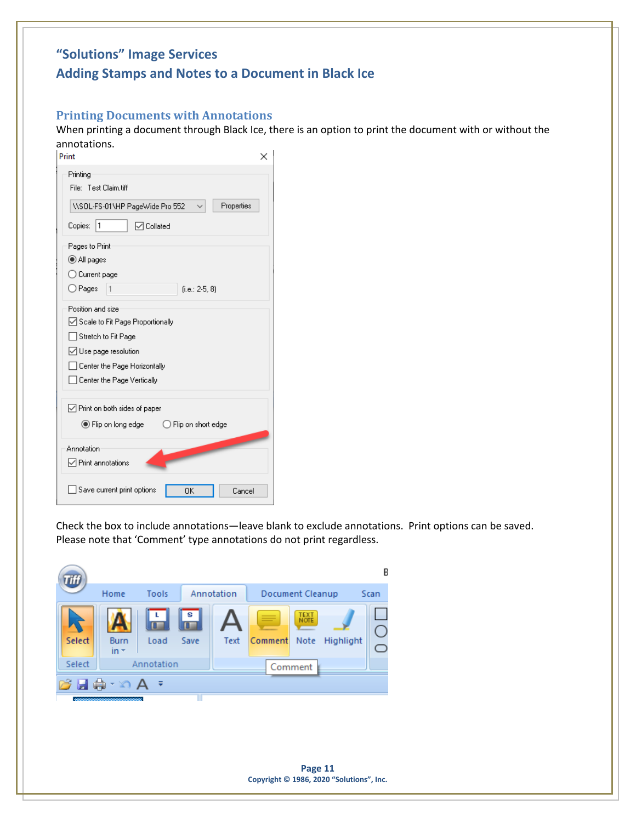# **"Solutions" Image Services Adding Stamps and Notes to a Document in Black Ice**

### <span id="page-10-0"></span>**Printing Documents with Annotations**

When printing a document through Black Ice, there is an option to print the document with or without the annotations.

| Print<br>×                                                          |
|---------------------------------------------------------------------|
| Printing<br>File: Test Claim.tiff                                   |
| Properties<br>\\SOL-FS-01\HP PageWide Pro 552<br>1                  |
| Copies:<br>$\boxdot$ Collated                                       |
| Pages to Print                                                      |
| All pages                                                           |
| ◯ Current page                                                      |
| ○ Pages<br>$(i.e.: 2-5, 8)$<br>1                                    |
| Position and size                                                   |
| ◯ Scale to Fit Page Proportionally                                  |
| Stretch to Fit Page                                                 |
| ◯ Use page resolution                                               |
| Center the Page Horizontally                                        |
| Center the Page Vertically                                          |
| $\sqrt{}$ Print on both sides of paper                              |
| $\circledbullet$ Flip on long edge<br>$\bigcirc$ Flip on short edge |
| Annotation                                                          |
| □ Print annotations                                                 |
| Save current print options<br>0K<br>Cancel                          |

Check the box to include annotations—leave blank to exclude annotations. Print options can be saved. Please note that 'Comment' type annotations do not print regardless.



**Page 11 Copyright © 1986, 2020 "Solutions", Inc.**